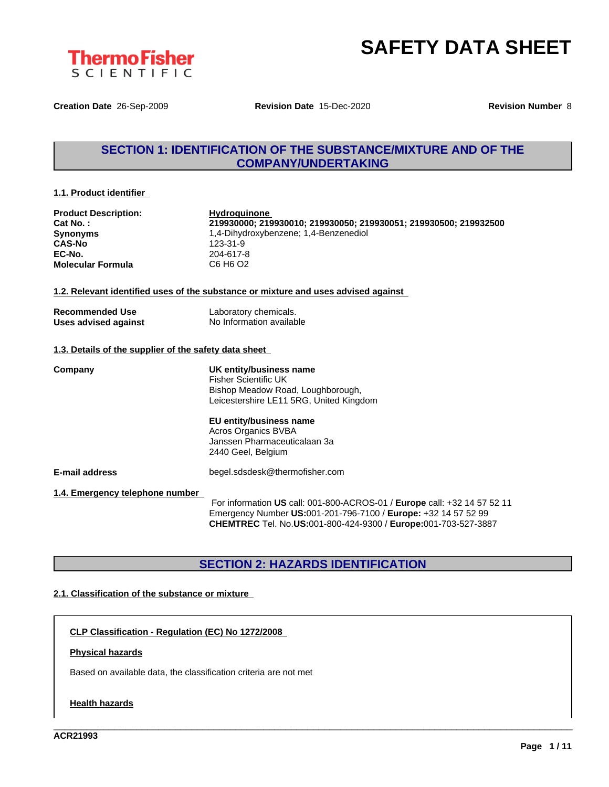

**Creation Date** 26-Sep-2009 **Revision Date** 15-Dec-2020 **Revision Number** 8

## **SECTION 1: IDENTIFICATION OF THE SUBSTANCE/MIXTURE AND OF THE COMPANY/UNDERTAKING**

#### **1.1. Product identifier**

| <b>Product Description:</b> |  |
|-----------------------------|--|
| Cat No.:                    |  |
| <b>Synonyms</b>             |  |
| <b>CAS-No</b>               |  |
| EC-No.                      |  |
| <b>Molecular Formula</b>    |  |

**Hydroquinone Cat No. : 219930000; 219930010; 219930050; 219930051; 219930500; 219932500 Synonyms** 1,4-Dihydroxybenzene; 1,4-Benzenediol **CAS-No** 123-31-9 **EC-No.** 204-617-8 **Molecular Formula** C6 H6 O2

#### **1.2. Relevant identified uses of the substance or mixture and uses advised against**

| <b>Recommended Use</b> | Laboratory chemicals.    |
|------------------------|--------------------------|
| Uses advised against   | No Information available |

### **1.3. Details of the supplier of the safety data sheet**

**Company UK entity/business name** Fisher Scientific UK Bishop Meadow Road, Loughborough, Leicestershire LE11 5RG, United Kingdom

#### **EU entity/business name** Acros Organics BVBA

Janssen Pharmaceuticalaan 3a 2440 Geel, Belgium

**E-mail address** begel.sdsdesk@thermofisher.com

**1.4. Emergency telephone number**

For information **US** call: 001-800-ACROS-01 / **Europe** call: +32 14 57 52 11 Emergency Number **US:**001-201-796-7100 / **Europe:** +32 14 57 52 99 **CHEMTREC** Tel. No.**US:**001-800-424-9300 / **Europe:**001-703-527-3887

\_\_\_\_\_\_\_\_\_\_\_\_\_\_\_\_\_\_\_\_\_\_\_\_\_\_\_\_\_\_\_\_\_\_\_\_\_\_\_\_\_\_\_\_\_\_\_\_\_\_\_\_\_\_\_\_\_\_\_\_\_\_\_\_\_\_\_\_\_\_\_\_\_\_\_\_\_\_\_\_\_\_\_\_\_\_\_\_\_\_\_\_\_\_

## **SECTION 2: HAZARDS IDENTIFICATION**

### **2.1. Classification of the substance or mixture**

**CLP Classification - Regulation (EC) No 1272/2008**

#### **Physical hazards**

Based on available data, the classification criteria are not met

#### **Health hazards**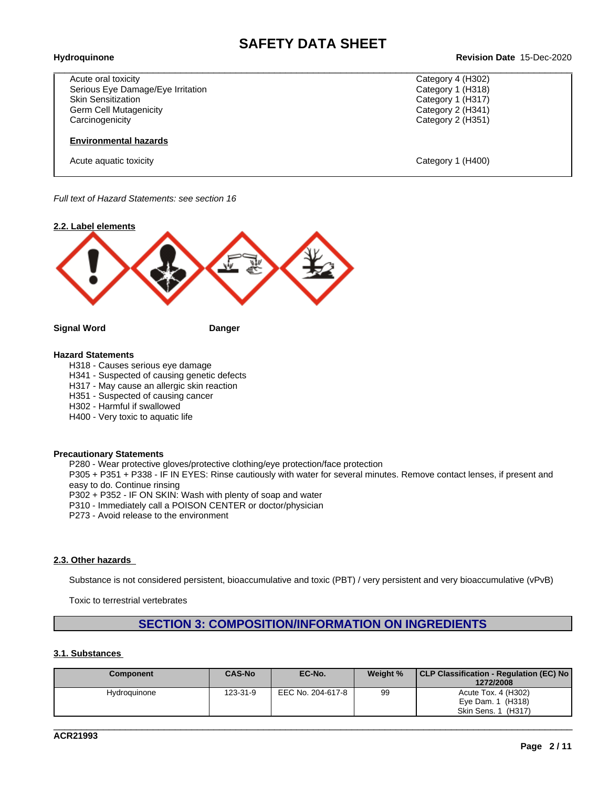# \_\_\_\_\_\_\_\_\_\_\_\_\_\_\_\_\_\_\_\_\_\_\_\_\_\_\_\_\_\_\_\_\_\_\_\_\_\_\_\_\_\_\_\_\_\_\_\_\_\_\_\_\_\_\_\_\_\_\_\_\_\_\_\_\_\_\_\_\_\_\_\_\_\_\_\_\_\_\_\_\_\_\_\_\_\_\_\_\_\_\_\_\_\_ **Hydroquinone Revision Date** 15-Dec-2020

Category 4 (H302) Category 1 (H318) Category 1 (H317) Category 2 (H341) Category 2 (H351)

| Acute oral toxicity               |
|-----------------------------------|
| Serious Eye Damage/Eye Irritation |
| <b>Skin Sensitization</b>         |
| Germ Cell Mutagenicity            |
| Carcinogenicity                   |

#### **Environmental hazards**

Acute aquatic toxicity Category 1 (H400)

*Full text of Hazard Statements: see section 16*



#### **Hazard Statements**

H318 - Causes serious eye damage

H341 - Suspected of causing genetic defects

- H317 May cause an allergic skin reaction
- H351 Suspected of causing cancer
- H302 Harmful if swallowed
- H400 Very toxic to aquatic life

#### **Precautionary Statements**

P280 - Wear protective gloves/protective clothing/eye protection/face protection

P305 + P351 + P338 - IF IN EYES: Rinse cautiously with water for several minutes. Remove contact lenses, if present and easy to do. Continue rinsing

P302 + P352 - IF ON SKIN: Wash with plenty of soap and water

P310 - Immediately call a POISON CENTER or doctor/physician

P273 - Avoid release to the environment

### **2.3. Other hazards**

Substance is not considered persistent, bioaccumulative and toxic (PBT) / very persistent and very bioaccumulative (vPvB)

Toxic to terrestrial vertebrates

## **SECTION 3: COMPOSITION/INFORMATION ON INGREDIENTS**

### **3.1. Substances**

| Component    | <b>CAS-No</b> | EC-No.            | Weight % | CLP Classification - Regulation (EC) No<br>1272/2008 |
|--------------|---------------|-------------------|----------|------------------------------------------------------|
| Hydroquinone | 123-31-9      | EEC No. 204-617-8 | 99       | Acute Tox. 4 (H302)                                  |
|              |               |                   |          | (H318)<br>Eve Dam. 1<br>Skin Sens, 1<br>(H317)       |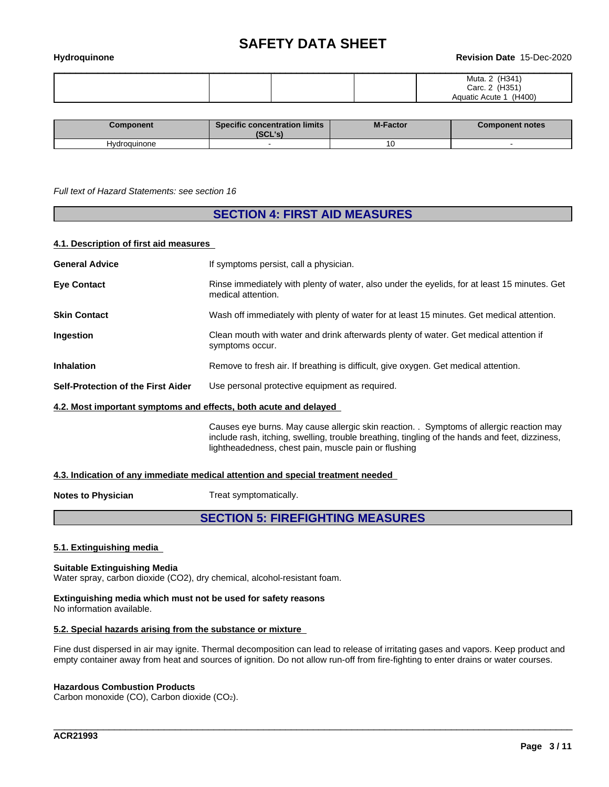| Hydroquinone | Revision Date 15-Dec-2020                                            |
|--------------|----------------------------------------------------------------------|
|              | Muta. 2 (H341)<br>Carc. 2 (H351)<br>(H400)<br><b>Aquatic Acute 1</b> |

| Component    | <b>Specific concentration limits</b><br>ובו ומהו<br>IJUL 5 | <b>M-Factor</b> | <b>Component notes</b> |
|--------------|------------------------------------------------------------|-----------------|------------------------|
| Hydroguinone |                                                            | $\cdot$         |                        |

#### *Full text of Hazard Statements: see section 16*

### **SECTION 4: FIRST AID MEASURES**

#### **4.1. Description of first aid measures**

| <b>General Advice</b>                                            | If symptoms persist, call a physician.                                                                                                                                                    |
|------------------------------------------------------------------|-------------------------------------------------------------------------------------------------------------------------------------------------------------------------------------------|
| <b>Eye Contact</b>                                               | Rinse immediately with plenty of water, also under the eyelids, for at least 15 minutes. Get<br>medical attention.                                                                        |
| <b>Skin Contact</b>                                              | Wash off immediately with plenty of water for at least 15 minutes. Get medical attention.                                                                                                 |
| Ingestion                                                        | Clean mouth with water and drink afterwards plenty of water. Get medical attention if<br>symptoms occur.                                                                                  |
| <b>Inhalation</b>                                                | Remove to fresh air. If breathing is difficult, give oxygen. Get medical attention.                                                                                                       |
| <b>Self-Protection of the First Aider</b>                        | Use personal protective equipment as required.                                                                                                                                            |
| 4.2. Most important symptoms and effects, both acute and delayed |                                                                                                                                                                                           |
|                                                                  | Causes eye burns. May cause allergic skin reaction. . Symptoms of allergic reaction may<br>include rash, itching, swelling, trouble breathing, tingling of the hands and feet, dizziness, |

### **4.3. Indication of any immediate medical attention and special treatment needed**

**Notes to Physician** Treat symptomatically.

### **SECTION 5: FIREFIGHTING MEASURES**

lightheadedness, chest pain, muscle pain or flushing

#### **5.1. Extinguishing media**

#### **Suitable Extinguishing Media**

Water spray, carbon dioxide (CO2), dry chemical, alcohol-resistant foam.

#### **Extinguishing media which must not be used for safety reasons** No information available.

#### **5.2. Special hazards arising from the substance or mixture**

Fine dust dispersed in air may ignite. Thermal decomposition can lead to release of irritating gases and vapors. Keep product and empty container away from heat and sources of ignition. Do not allow run-off from fire-fighting to enter drains or water courses.

\_\_\_\_\_\_\_\_\_\_\_\_\_\_\_\_\_\_\_\_\_\_\_\_\_\_\_\_\_\_\_\_\_\_\_\_\_\_\_\_\_\_\_\_\_\_\_\_\_\_\_\_\_\_\_\_\_\_\_\_\_\_\_\_\_\_\_\_\_\_\_\_\_\_\_\_\_\_\_\_\_\_\_\_\_\_\_\_\_\_\_\_\_\_

#### **Hazardous Combustion Products**

Carbon monoxide (CO), Carbon dioxide (CO2).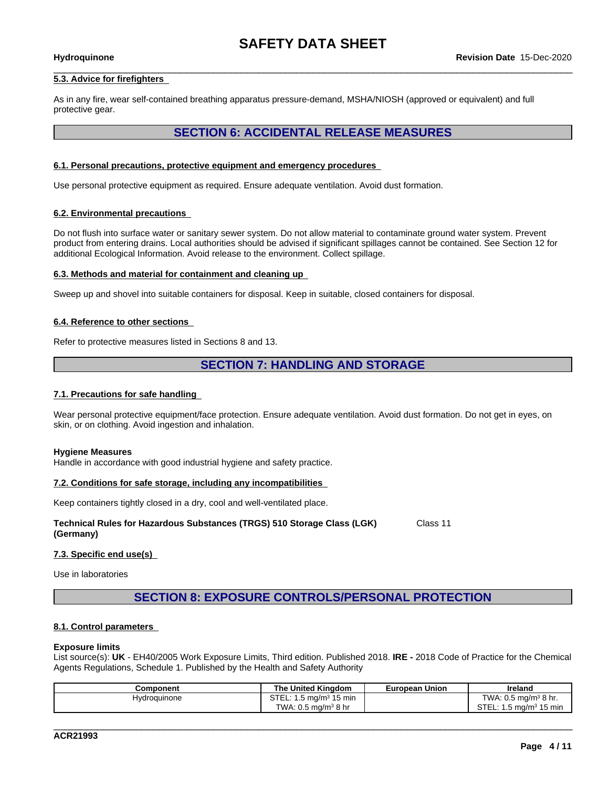#### **5.3. Advice for firefighters**

As in any fire, wear self-contained breathing apparatus pressure-demand, MSHA/NIOSH (approved or equivalent) and full protective gear.

# **SECTION 6: ACCIDENTAL RELEASE MEASURES**

#### **6.1. Personal precautions, protective equipment and emergency procedures**

Use personal protective equipment as required.Ensure adequate ventilation. Avoid dust formation.

#### **6.2. Environmental precautions**

Do not flush into surface water or sanitary sewer system. Do not allow material to contaminate ground water system. Prevent product from entering drains. Local authorities should be advised if significant spillages cannot be contained. See Section 12 for additional Ecological Information. Avoid release to the environment. Collect spillage.

#### **6.3. Methods and material for containment and cleaning up**

Sweep up and shovel into suitable containers for disposal. Keep in suitable, closed containers for disposal.

#### **6.4. Reference to other sections**

Refer to protective measures listed in Sections 8 and 13.

### **SECTION 7: HANDLING AND STORAGE**

#### **7.1. Precautions for safe handling**

Wear personal protective equipment/face protection. Ensure adequate ventilation. Avoid dust formation. Do not get in eyes, on skin, or on clothing. Avoid ingestion and inhalation.

#### **Hygiene Measures**

Handle in accordance with good industrial hygiene and safety practice.

#### **7.2. Conditions for safe storage, including any incompatibilities**

Keep containers tightly closed in a dry, cool and well-ventilated place.

#### **Technical Rules for Hazardous Substances (TRGS) 510 Storage Class (LGK) (Germany)** Class 11

#### **7.3. Specific end use(s)**

Use in laboratories

## **SECTION 8: EXPOSURE CONTROLS/PERSONAL PROTECTION**

#### **8.1. Control parameters**

#### **Exposure limits**

List source(s): **UK** - EH40/2005 Work Exposure Limits, Third edition. Published 2018. **IRE -** 2018 Code of Practice for the Chemical Agents Regulations, Schedule 1. Published by the Health and Safety Authority

| Component           | <b>United Kinadom</b><br>The                  | Union<br>European | Ireland                                                |  |
|---------------------|-----------------------------------------------|-------------------|--------------------------------------------------------|--|
| <b>Hydroguinone</b> | $\ldots$ o ma/m $^{3}$ 1 $^{\circ}$<br>15 min |                   | $\cdot$ : 0.5 mg/m <sup>3</sup> 8 hr.<br>TWA.          |  |
|                     | TWA<br>ה ma/mª 8 hr<br>. U.S                  |                   | n Tr<br>…ɔ mq/m <sup>ɜ</sup> 1 <i>⊑</i><br>15 min<br>. |  |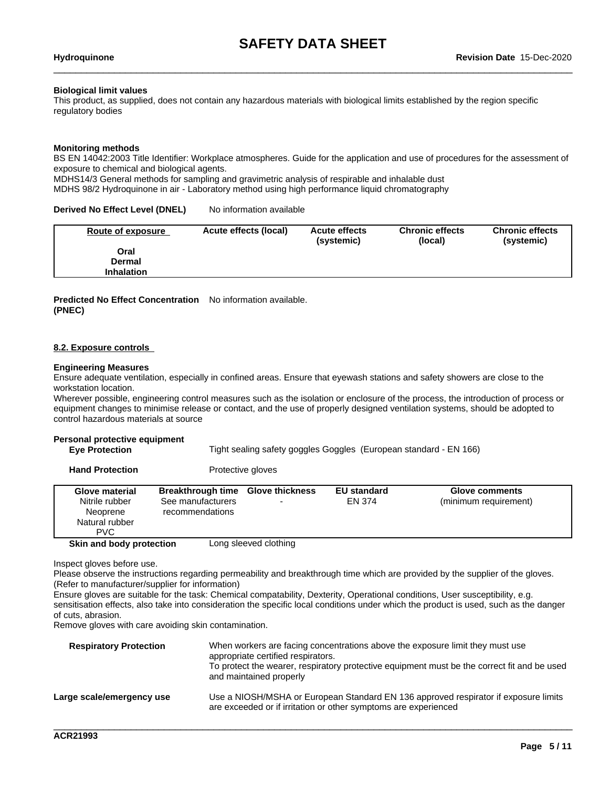#### **Biological limit values**

This product, as supplied, does not contain any hazardous materials with biological limits established by the region specific regulatory bodies

#### **Monitoring methods**

BS EN 14042:2003 Title Identifier: Workplace atmospheres. Guide for the application and use of procedures for the assessment of exposure to chemical and biological agents.

MDHS14/3 General methods for sampling and gravimetric analysis of respirable and inhalable dust

MDHS 98/2 Hydroquinone in air - Laboratory method using high performance liquid chromatography

#### **Derived No Effect Level (DNEL)** No information available

| Oral<br>Dermal | Route of exposure | Acute effects (local) | <b>Acute effects</b><br>(systemic) | <b>Chronic effects</b><br>(local) | <b>Chronic effects</b><br>(systemic) |
|----------------|-------------------|-----------------------|------------------------------------|-----------------------------------|--------------------------------------|
|                |                   |                       |                                    |                                   |                                      |
|                |                   |                       |                                    |                                   |                                      |
|                | <b>Inhalation</b> |                       |                                    |                                   |                                      |

#### **Predicted No Effect Concentration** No information available. **(PNEC)**

#### **8.2. Exposure controls**

#### **Engineering Measures**

Ensure adequate ventilation, especially in confined areas. Ensure that eyewash stations and safety showers are close to the workstation location.

Wherever possible, engineering control measures such as the isolation or enclosure of the process, the introduction of process or equipment changes to minimise release or contact, and the use of properly designed ventilation systems, should be adopted to control hazardous materials at source

#### **Personal protective equipment**

| <b>Eve Protection</b> | Tight sealing safety goggles Goggles (European standard - EN 166) |
|-----------------------|-------------------------------------------------------------------|
|                       |                                                                   |

**Hand Protection** Protective gloves

| <b>Glove material</b><br>Nitrile rubber<br>Neoprene<br>Natural rubber<br><b>PVC</b> | Breakthrough time Glove thickness<br>See manufacturers<br>recommendations | $\overline{\phantom{0}}$ | <b>EU standard</b><br>EN 374 | <b>Glove comments</b><br>(minimum requirement) |
|-------------------------------------------------------------------------------------|---------------------------------------------------------------------------|--------------------------|------------------------------|------------------------------------------------|
| Skin and body protection                                                            |                                                                           | Long sleeved clothing    |                              |                                                |

Inspect gloves before use.

Please observe the instructions regarding permeability and breakthrough time which are provided by the supplier of the gloves. (Refer to manufacturer/supplier for information)

Ensure gloves are suitable for the task: Chemical compatability, Dexterity, Operational conditions, User susceptibility, e.g. sensitisation effects, also take into consideration the specific local conditions under which the product is used, such as the danger of cuts, abrasion.

Remove gloves with care avoiding skin contamination.

| <b>Respiratory Protection</b> | When workers are facing concentrations above the exposure limit they must use<br>appropriate certified respirators.<br>To protect the wearer, respiratory protective equipment must be the correct fit and be used<br>and maintained properly |
|-------------------------------|-----------------------------------------------------------------------------------------------------------------------------------------------------------------------------------------------------------------------------------------------|
| Large scale/emergency use     | Use a NIOSH/MSHA or European Standard EN 136 approved respirator if exposure limits<br>are exceeded or if irritation or other symptoms are experienced                                                                                        |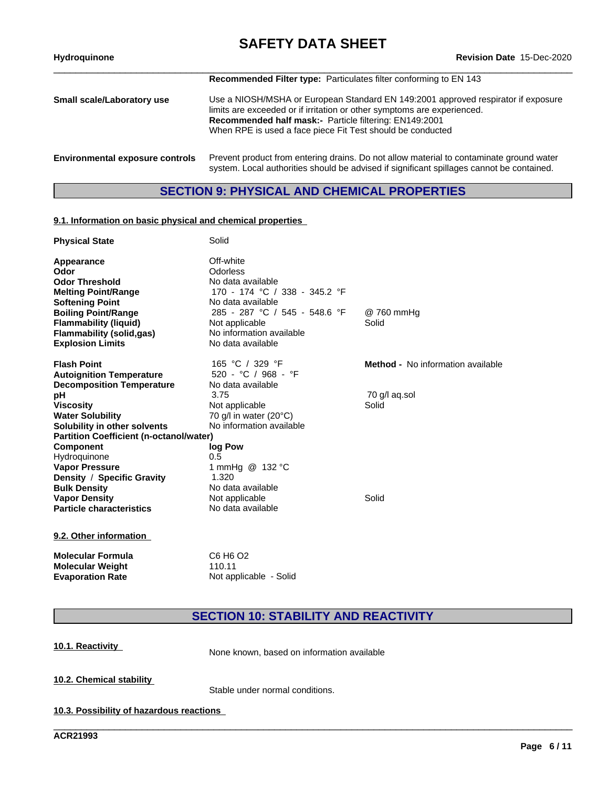# **SAFETY DATA SHEET**<br>Revision Date 15-Dec-2020

| <b>Hydroquinone</b>                    | Revision Date 15-Dec-2020                                                                                                                                                                                                                                                            |
|----------------------------------------|--------------------------------------------------------------------------------------------------------------------------------------------------------------------------------------------------------------------------------------------------------------------------------------|
|                                        | <b>Recommended Filter type:</b> Particulates filter conforming to EN 143                                                                                                                                                                                                             |
| Small scale/Laboratory use             | Use a NIOSH/MSHA or European Standard EN 149:2001 approved respirator if exposure<br>limits are exceeded or if irritation or other symptoms are experienced.<br>Recommended half mask:- Particle filtering: EN149:2001<br>When RPE is used a face piece Fit Test should be conducted |
| <b>Environmental exposure controls</b> | Prevent product from entering drains. Do not allow material to contaminate ground water<br>system. Local authorities should be advised if significant spillages cannot be contained.                                                                                                 |

## **SECTION 9: PHYSICAL AND CHEMICAL PROPERTIES**

### **9.1. Information on basic physical and chemical properties**

| <b>Physical State</b>                          | Solid                            |                                          |
|------------------------------------------------|----------------------------------|------------------------------------------|
| Appearance                                     | Off-white                        |                                          |
| Odor                                           | Odorless                         |                                          |
| <b>Odor Threshold</b>                          | No data available                |                                          |
| <b>Melting Point/Range</b>                     | 170 - 174 °C / 338 - 345.2 °F    |                                          |
| <b>Softening Point</b>                         | No data available                |                                          |
| <b>Boiling Point/Range</b>                     | 285 - 287 °C / 545 - 548.6 °F    | @ 760 mmHq                               |
| <b>Flammability (liquid)</b>                   | Not applicable                   | Solid                                    |
| <b>Flammability (solid,gas)</b>                | No information available         |                                          |
| <b>Explosion Limits</b>                        | No data available                |                                          |
| <b>Flash Point</b>                             | 165 °C / 329 °F                  | <b>Method -</b> No information available |
| <b>Autoignition Temperature</b>                | 520 - °C / 968 - °F              |                                          |
| <b>Decomposition Temperature</b>               | No data available                |                                          |
| рH                                             | 3.75                             | 70 g/l ag.sol                            |
| <b>Viscosity</b>                               | Not applicable                   | Solid                                    |
| <b>Water Solubility</b>                        | 70 g/l in water (20°C)           |                                          |
| Solubility in other solvents                   | No information available         |                                          |
| <b>Partition Coefficient (n-octanol/water)</b> |                                  |                                          |
| <b>Component</b>                               | log Pow                          |                                          |
| Hydroquinone                                   | 0.5                              |                                          |
| <b>Vapor Pressure</b>                          | 1 mmHg @ 132 °C                  |                                          |
| Density / Specific Gravity                     | 1.320                            |                                          |
| <b>Bulk Density</b>                            | No data available                |                                          |
| <b>Vapor Density</b>                           | Not applicable                   | Solid                                    |
| <b>Particle characteristics</b>                | No data available                |                                          |
| 9.2. Other information                         |                                  |                                          |
| <b>Molecular Formula</b>                       | C6 H <sub>6</sub> O <sub>2</sub> |                                          |

**SECTION 10: STABILITY AND REACTIVITY**

\_\_\_\_\_\_\_\_\_\_\_\_\_\_\_\_\_\_\_\_\_\_\_\_\_\_\_\_\_\_\_\_\_\_\_\_\_\_\_\_\_\_\_\_\_\_\_\_\_\_\_\_\_\_\_\_\_\_\_\_\_\_\_\_\_\_\_\_\_\_\_\_\_\_\_\_\_\_\_\_\_\_\_\_\_\_\_\_\_\_\_\_\_\_

**10.1. Reactivity** None known, based on information available

**10.2. Chemical stability**

Stable under normal conditions.

**10.3. Possibility of hazardous reactions**

**Molecular Weight** 110.11

**Evaporation Rate** Not applicable - Solid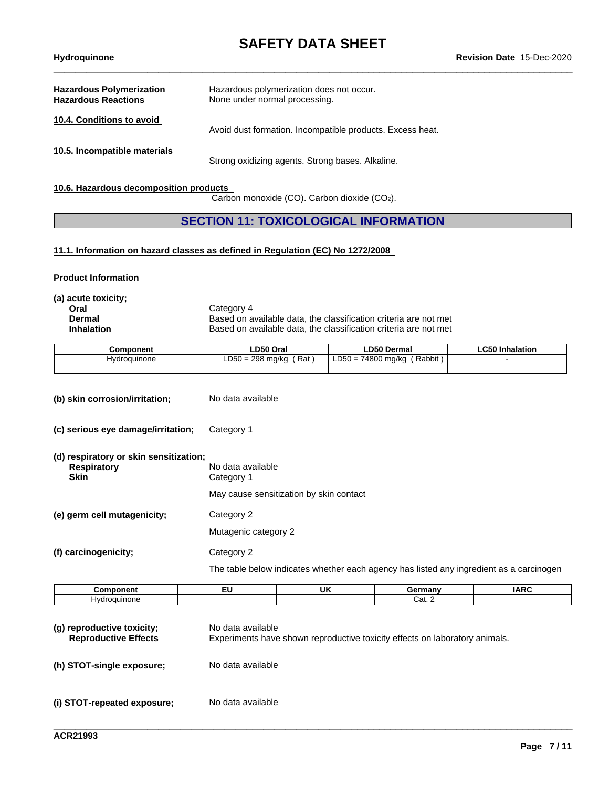| <b>Hazardous Polymerization</b><br><b>Hazardous Reactions</b> | Hazardous polymerization does not occur.<br>None under normal processing. |
|---------------------------------------------------------------|---------------------------------------------------------------------------|
| 10.4. Conditions to avoid                                     | Avoid dust formation. Incompatible products. Excess heat.                 |
| 10.5. Incompatible materials                                  | Strong oxidizing agents. Strong bases. Alkaline.                          |

#### **10.6. Hazardous decomposition products**

Carbon monoxide (CO). Carbon dioxide (CO2).

### **SECTION 11: TOXICOLOGICAL INFORMATION**

### **11.1. Information on hazard classes as defined in Regulation (EC) No 1272/2008**

**Product Information**

**(a) acute toxicity;**

**Oral** Category 4<br> **Dermal** Based on a **Dermal** Based on available data, the classification criteria are not met<br> **Inhalation** Based on available data, the classification criteria are not met **Inhalation** Based on available data, the classification criteria are not met

| Component    | ∟D50 Oral                 | <b>LD50 Dermal</b>                    | ∟C50 Inhalation |
|--------------|---------------------------|---------------------------------------|-----------------|
| Hydroguinone | $LD50 = 298$ mg/kg<br>Rat | (Rabbit)<br>74800 mg/kg<br>$LD50 = 7$ |                 |

- **(b) skin corrosion/irritation;** No data available
- **(c) serious eye damage/irritation;** Category 1
- **(d) respiratory or skin sensitization; Respiratory** No data available<br> **Skin** Category 1 **Category 1** May cause sensitization by skin contact **(e) germ cell mutagenicity;** Category 2 Mutagenic category 2

**(f) carcinogenicity;** Category 2

The table below indicates whether each agency has listed any ingredient as a carcinogen

| <b>Component</b> | <br>UK | Germany | $I\triangle R$<br>ını |
|------------------|--------|---------|-----------------------|
| Hvdroauınone     |        | Cat. ∠  |                       |

| (g) reproductive toxicity;<br><b>Reproductive Effects</b> | No data available<br>Experiments have shown reproductive toxicity effects on laboratory animals. |
|-----------------------------------------------------------|--------------------------------------------------------------------------------------------------|
| (h) STOT-single exposure;                                 | No data available                                                                                |
| (i) STOT-repeated exposure;                               | No data available                                                                                |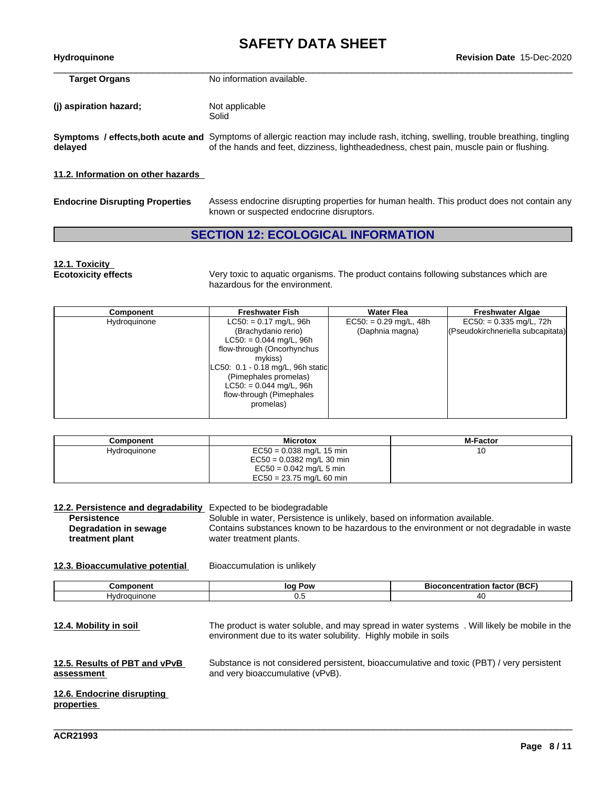| <b>Hydroguinone</b>                | <b>Revision Date 15-Dec-2020</b>                                                                                                                                                                                             |
|------------------------------------|------------------------------------------------------------------------------------------------------------------------------------------------------------------------------------------------------------------------------|
| <b>Target Organs</b>               | No information available.                                                                                                                                                                                                    |
| (i) aspiration hazard;             | Not applicable<br>Solid                                                                                                                                                                                                      |
| delayed                            | Symptoms / effects, both acute and Symptoms of allergic reaction may include rash, itching, swelling, trouble breathing, tingling<br>of the hands and feet, dizziness, lightheadedness, chest pain, muscle pain or flushing. |
| 11.2. Information on other hazards |                                                                                                                                                                                                                              |

| <b>Endocrine Disrupting Properties</b> | Assess endocrine disrupting properties for human health. This product does not contain any |
|----------------------------------------|--------------------------------------------------------------------------------------------|
|                                        | known or suspected endocrine disruptors.                                                   |

# **SECTION 12: ECOLOGICAL INFORMATION**

# **12.1. Toxicity**

Very toxic to aquatic organisms. The product contains following substances which are hazardous for the environment.

| Component    | <b>Freshwater Fish</b>                                                                                                                                                                                                                                    | <b>Water Flea</b>                           | <b>Freshwater Algae</b>                                        |
|--------------|-----------------------------------------------------------------------------------------------------------------------------------------------------------------------------------------------------------------------------------------------------------|---------------------------------------------|----------------------------------------------------------------|
| Hydroquinone | $LC50: = 0.17$ mg/L, 96h<br>(Brachydanio rerio)<br>$LC50: = 0.044$ mg/L, 96h<br>flow-through (Oncorhynchus<br>mykiss)<br>LC50: 0.1 - 0.18 mg/L, 96h static<br>(Pimephales promelas)<br>$LC50: = 0.044$ mg/L, 96h<br>flow-through (Pimephales<br>promelas) | $EC50: = 0.29$ mg/L, 48h<br>(Daphnia magna) | $EC50. = 0.335$ mg/L, 72h<br>(Pseudokirchneriella subcapitata) |

| Component    | <b>Microtox</b>                                           | <b>M-Factor</b> |
|--------------|-----------------------------------------------------------|-----------------|
| Hydroguinone | $EC50 = 0.038$ mg/L 15 min<br>$EC50 = 0.0382$ mg/L 30 min |                 |
|              | $EC50 = 0.042$ mg/L 5 min<br>$EC50 = 23.75$ mg/L 60 min   |                 |

| 12.2. Persistence and degradability Expected to be biodegradable |                                                                                                                    |
|------------------------------------------------------------------|--------------------------------------------------------------------------------------------------------------------|
| <b>Persistence</b>                                               | Soluble in water, Persistence is unlikely, based on information available.                                         |
| Degradation in sewage<br>treatment plant                         | Contains substances known to be hazardous to the environment or not degradable in waste<br>water treatment plants. |
|                                                                  |                                                                                                                    |

### **12.3. Bioaccumulative potential** Bioaccumulation is unlikely

|     | --  | Ri<br>----<br>ы |
|-----|-----|-----------------|
| ⊣v∩ | v.v |                 |

**12.4. Mobility in soil** The product is water soluble, and may spread in water systems . Will likely be mobile in the environment due to its water solubility. Highly mobile in soils **12.5. Results of PBT and vPvB assessment** Substance is not considered persistent, bioaccumulative and toxic (PBT) / very persistent and very bioaccumulative (vPvB). **12.6. Endocrine disrupting properties**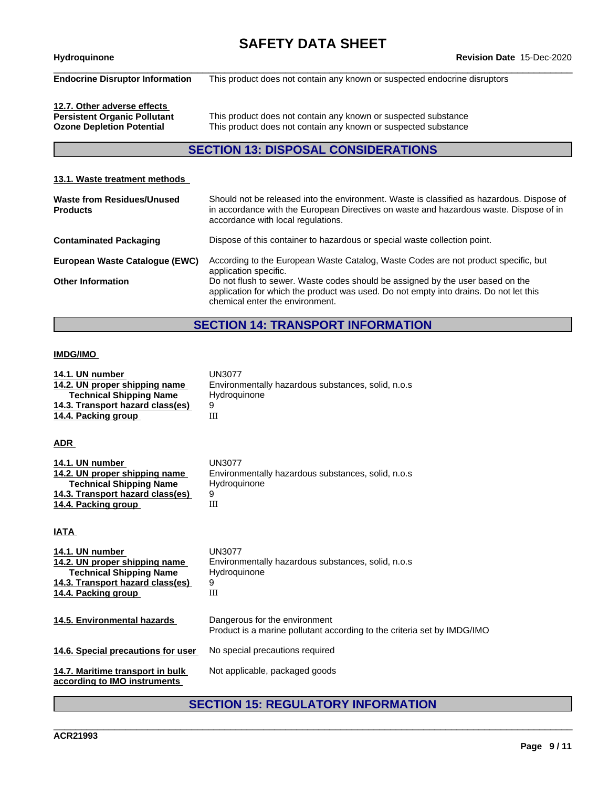\_\_\_\_\_\_\_\_\_\_\_\_\_\_\_\_\_\_\_\_\_\_\_\_\_\_\_\_\_\_\_\_\_\_\_\_\_\_\_\_\_\_\_\_\_\_\_\_\_\_\_\_\_\_\_\_\_\_\_\_\_\_\_\_\_\_\_\_\_\_\_\_\_\_\_\_\_\_\_\_\_\_\_\_\_\_\_\_\_\_\_\_\_\_ **Hydroquinone Revision Date** 15-Dec-2020 **Endocrine Disruptor Information** This product does not contain any known or suspected endocrine disruptors

**12.7. Other adverse effects**

This product does not contain any known or suspected substance **Ozone Depletion Potential** This product does not contain any known or suspected substance

## **SECTION 13: DISPOSAL CONSIDERATIONS**

### **13.1. Waste treatment methods Waste from Residues/Unused Products** Should not be released into the environment. Waste is classified as hazardous. Dispose of in accordance with the European Directives on waste and hazardous waste. Dispose of in accordance with local regulations. **Contaminated Packaging** Dispose of this container to hazardous or special waste collection point. **European Waste Catalogue (EWC)** According to the European Waste Catalog, Waste Codes are not product specific, but application specific. **Other Information** Do not flush to sewer. Waste codes should be assigned by the user based on the application for which the product was used. Do not empty into drains. Do not let this chemical enter the environment.

## **SECTION 14: TRANSPORT INFORMATION**

#### **IMDG/IMO**

| 14.1. UN number<br>14.2. UN proper shipping name<br><b>Technical Shipping Name</b><br>14.3. Transport hazard class(es)<br>14.4. Packing group        | <b>UN3077</b><br>Environmentally hazardous substances, solid, n.o.s.<br>Hydroquinone<br>9<br>III         |
|------------------------------------------------------------------------------------------------------------------------------------------------------|----------------------------------------------------------------------------------------------------------|
| <b>ADR</b>                                                                                                                                           |                                                                                                          |
| 14.1. UN number<br>14.2. UN proper shipping name<br><b>Technical Shipping Name</b><br>14.3. Transport hazard class(es)<br>14.4. Packing group        | <b>UN3077</b><br>Environmentally hazardous substances, solid, n.o.s.<br>Hydroquinone<br>9<br>III         |
| IATA                                                                                                                                                 |                                                                                                          |
| 14.1. UN number<br>14.2. UN proper shipping name<br><b>Technical Shipping Name</b><br><u>14.3. Transport hazard class(es)</u><br>14.4. Packing group | <b>UN3077</b><br>Environmentally hazardous substances, solid, n.o.s<br>Hydroquinone<br>9<br>III          |
| 14.5. Environmental hazards                                                                                                                          | Dangerous for the environment<br>Product is a marine pollutant according to the criteria set by IMDG/IMO |
| 14.6. Special precautions for user                                                                                                                   | No special precautions required                                                                          |
| 14.7. Maritime transport in bulk<br>according to IMO instruments                                                                                     | Not applicable, packaged goods                                                                           |

# **SECTION 15: REGULATORY INFORMATION**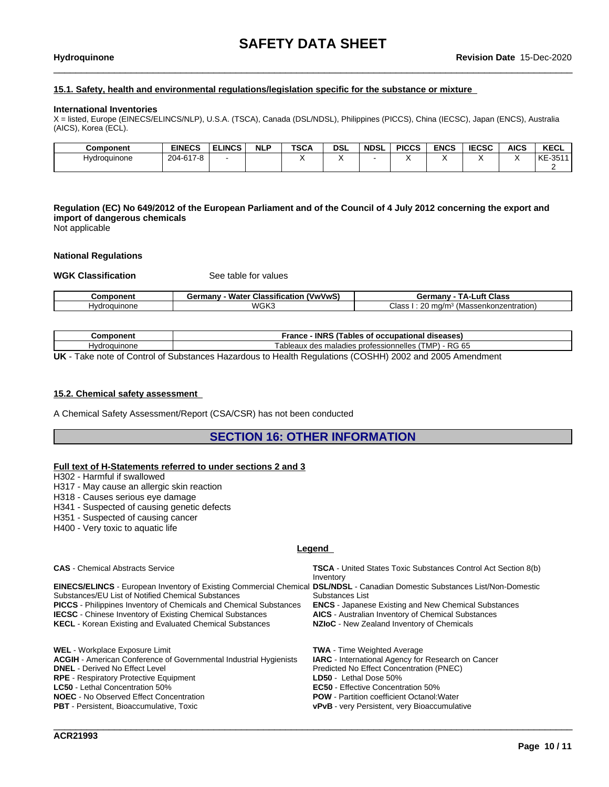### **15.1. Safety, health and environmental regulations/legislation specific for the substance or mixture**

#### **International Inventories**

X = listed, Europe (EINECS/ELINCS/NLP), U.S.A. (TSCA), Canada (DSL/NDSL), Philippines (PICCS), China (IECSC), Japan (ENCS), Australia (AICS), Korea (ECL).

| Component    | <b>EINECS</b> | <b>ELINCS</b> | <b>NLP</b> | <b>TSCA</b> | <b>DSL</b> | <b>NDSL</b> | <b>PICCS</b> | <b>ENCS</b> | <b>IECSC</b> | <b>AICS</b> | <b>KECL</b>   |
|--------------|---------------|---------------|------------|-------------|------------|-------------|--------------|-------------|--------------|-------------|---------------|
| Hydroquinone | 204-617-8     |               |            |             |            |             |              |             |              |             | $-351'$<br>KE |
|              |               |               |            |             |            |             |              |             |              |             |               |

Regulation (EC) No 649/2012 of the European Parliament and of the Council of 4 July 2012 concerning the export and **import of dangerous chemicals** Not applicable

#### **National Regulations**

#### **WGK Classification** See table for values

| <b>Component</b> | <b>Water Classification</b><br>(VwVwS)<br>Germanv | <b>Class</b><br>-uft<br>Germany ·<br>I Д. І |
|------------------|---------------------------------------------------|---------------------------------------------|
| Hvdroauinone     | WGK3                                              | Class<br>(Massenkonzentration)<br>ma/m      |

| Component    | - INRS (Tables of occupational diseases)<br>France                                                 |
|--------------|----------------------------------------------------------------------------------------------------|
| Hvdroauınone | Tableaux des maladies professionnelles<br>1 - RG 65<br>$TMP$ .                                     |
| $\mathbf{H}$ | Toke note of Control of Subetenese Hazardous to Hoolth Bequietions (COSHH) 2002 and 2005 Amondment |

**UK** - Take note of Control of Substances Hazardous to Health Regulations (COSHH) 2002 and 2005 Amendment

#### **15.2. Chemical safety assessment**

A Chemical Safety Assessment/Report (CSA/CSR) has not been conducted

### **SECTION 16: OTHER INFORMATION**

#### **Full text of H-Statements referred to undersections 2 and 3**

H302 - Harmful if swallowed

- H317 May cause an allergic skin reaction
- H318 Causes serious eye damage
- H341 Suspected of causing genetic defects
- H351 Suspected of causing cancer
- H400 Very toxic to aquatic life

#### **Legend**

**CAS** - Chemical Abstracts Service **TSCA** - United States Toxic Substances Control Act Section 8(b) Inventory **EINECS/ELINCS** - European Inventory of Existing Commercial Chemical **DSL/NDSL** - Canadian Domestic Substances List/Non-Domestic Substances/EU List of Notified Chemical Substances Substances List **PICCS** - Philippines Inventory of Chemicals and Chemical Substances **ENCS** - Japanese Existing and New Chemical Substances<br>**IECSC** - Chinese Inventory of Existing Chemical Substances **AICS** - Australian Inventory of Chemi **IECSC** - Chinese Inventory of Existing Chemical Substances **KECL** - Korean Existing and Evaluated Chemical Substances **NZIoC** - New Zealand Inventory of Chemicals **WEL** - Workplace Exposure Limit **TWA** - Time Weighted Average **ACGIH** - American Conference of Governmental Industrial Hygienists **IARC** - International Agency for Research on Cancer **DNEL** - Derived No Effect Level<br> **RPE** - Respiratory Protective Equipment<br> **RPE** - Respiratory Protective Equipment<br> **PRE** - Respiratory Protective Equipment **RPE** - Respiratory Protective Equipment **LC50** - Lethal Concentration 50% **LC50** - Lethal Concentration 50%<br> **NOEC** - No Observed Effect Concentration<br> **ROW** - Partition coefficient Octanol:

**NOEC** - No Observed Effect Concentration **POW - Partition coefficient Octanol: Water**<br> **PBT** - Persistent, Bioaccumulative, Toxic **PBT** - VPVB - very Persistent, very Bioaccumula

\_\_\_\_\_\_\_\_\_\_\_\_\_\_\_\_\_\_\_\_\_\_\_\_\_\_\_\_\_\_\_\_\_\_\_\_\_\_\_\_\_\_\_\_\_\_\_\_\_\_\_\_\_\_\_\_\_\_\_\_\_\_\_\_\_\_\_\_\_\_\_\_\_\_\_\_\_\_\_\_\_\_\_\_\_\_\_\_\_\_\_\_\_\_

**vPvB** - very Persistent, very Bioaccumulative